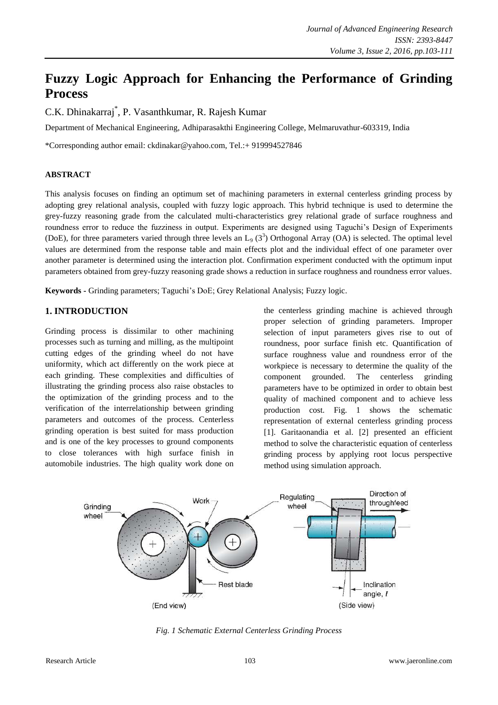# **Fuzzy Logic Approach for Enhancing the Performance of Grinding Process**

C.K. Dhinakarraj\* , P. Vasanthkumar, R. Rajesh Kumar

Department of Mechanical Engineering, Adhiparasakthi Engineering College, Melmaruvathur-603319, India

\*Corresponding author email: ckdinakar@yahoo.com, Tel.:+ 919994527846

### **ABSTRACT**

This analysis focuses on finding an optimum set of machining parameters in external centerless grinding process by adopting grey relational analysis, coupled with fuzzy logic approach. This hybrid technique is used to determine the grey-fuzzy reasoning grade from the calculated multi-characteristics grey relational grade of surface roughness and roundness error to reduce the fuzziness in output. Experiments are designed using Taguchi's Design of Experiments (DoE), for three parameters varied through three levels an  $L_9$  (3<sup>3</sup>) Orthogonal Array (OA) is selected. The optimal level values are determined from the response table and main effects plot and the individual effect of one parameter over another parameter is determined using the interaction plot. Confirmation experiment conducted with the optimum input parameters obtained from grey-fuzzy reasoning grade shows a reduction in surface roughness and roundness error values.

**Keywords -** Grinding parameters; Taguchi's DoE; Grey Relational Analysis; Fuzzy logic.

# **1. INTRODUCTION**

Grinding process is dissimilar to other machining processes such as turning and milling, as the multipoint cutting edges of the grinding wheel do not have uniformity, which act differently on the work piece at each grinding. These complexities and difficulties of illustrating the grinding process also raise obstacles to the optimization of the grinding process and to the verification of the interrelationship between grinding parameters and outcomes of the process. Centerless grinding operation is best suited for mass production and is one of the key processes to ground components to close tolerances with high surface finish in automobile industries. The high quality work done on

the centerless grinding machine is achieved through proper selection of grinding parameters. Improper selection of input parameters gives rise to out of roundness, poor surface finish etc. Quantification of surface roughness value and roundness error of the workpiece is necessary to determine the quality of the component grounded. The centerless grinding parameters have to be optimized in order to obtain best quality of machined component and to achieve less production cost. Fig. 1 shows the schematic representation of external centerless grinding process [1]. Garitaonandia et al. [2] presented an efficient method to solve the characteristic equation of centerless grinding process by applying root locus perspective method using simulation approach.



*Fig. 1 Schematic External Centerless Grinding Process*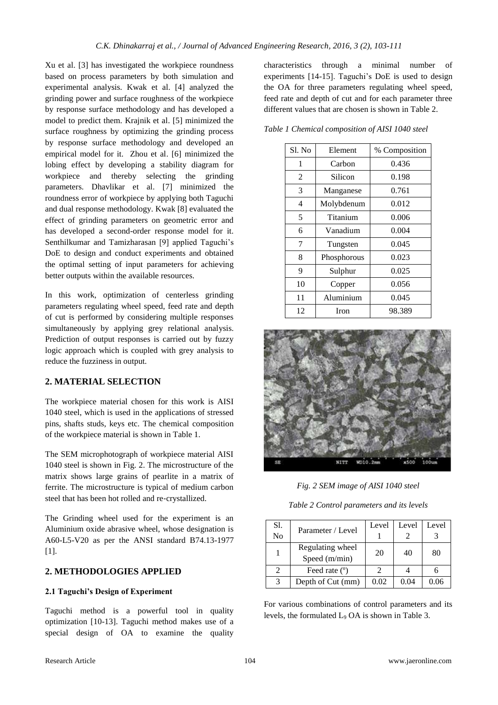Xu et al. [3] has investigated the workpiece roundness based on process parameters by both simulation and experimental analysis. Kwak et al. [4] analyzed the grinding power and surface roughness of the workpiece by response surface methodology and has developed a model to predict them. Krajnik et al. [5] minimized the surface roughness by optimizing the grinding process by response surface methodology and developed an empirical model for it. Zhou et al. [6] minimized the lobing effect by developing a stability diagram for workpiece and thereby selecting the grinding parameters. Dhavlikar et al. [7] minimized the roundness error of workpiece by applying both Taguchi and dual response methodology. Kwak [8] evaluated the effect of grinding parameters on geometric error and has developed a second-order response model for it. Senthilkumar and Tamizharasan [9] applied Taguchi's DoE to design and conduct experiments and obtained the optimal setting of input parameters for achieving better outputs within the available resources.

In this work, optimization of centerless grinding parameters regulating wheel speed, feed rate and depth of cut is performed by considering multiple responses simultaneously by applying grey relational analysis. Prediction of output responses is carried out by fuzzy logic approach which is coupled with grey analysis to reduce the fuzziness in output.

### **2. MATERIAL SELECTION**

The workpiece material chosen for this work is AISI 1040 steel, which is used in the applications of stressed pins, shafts studs, keys etc. The chemical composition of the workpiece material is shown in Table 1.

The SEM microphotograph of workpiece material AISI 1040 steel is shown in Fig. 2. The microstructure of the matrix shows large grains of pearlite in a matrix of ferrite. The microstructure is typical of medium carbon steel that has been hot rolled and re‐crystallized.

The Grinding wheel used for the experiment is an Aluminium oxide abrasive wheel, whose designation is A60-L5-V20 as per the ANSI standard B74.13-1977 [1].

### **2. METHODOLOGIES APPLIED**

### **2.1 Taguchi's Design of Experiment**

Taguchi method is a powerful tool in quality optimization [10-13]. Taguchi method makes use of a special design of OA to examine the quality

characteristics through a minimal number of experiments [14-15]. Taguchi's DoE is used to design the OA for three parameters regulating wheel speed, feed rate and depth of cut and for each parameter three different values that are chosen is shown in Table 2.

*Table 1 Chemical composition of AISI 1040 steel*

| Sl. No | Element     | % Composition |
|--------|-------------|---------------|
| 1      | Carbon      | 0.436         |
| 2      | Silicon     | 0.198         |
| 3      | Manganese   | 0.761         |
| 4      | Molybdenum  | 0.012         |
| 5      | Titanium    | 0.006         |
| 6      | Vanadium    | 0.004         |
| 7      | Tungsten    | 0.045         |
| 8      | Phosphorous | 0.023         |
| 9      | Sulphur     | 0.025         |
| 10     | Copper      | 0.056         |
| 11     | Aluminium   | 0.045         |
| 12     | Iron        | 98.389        |



*Fig. 2 SEM image of AISI 1040 steel*

*Table 2 Control parameters and its levels*

| Sl.<br>No     | Parameter / Level                 | Level | Level | Level |
|---------------|-----------------------------------|-------|-------|-------|
|               | Regulating wheel<br>Speed (m/min) | 20    | 40    | 80    |
|               | Feed rate $(°)$                   |       |       |       |
| $\mathcal{R}$ | Depth of Cut (mm)                 | 0.02  | 0.04  |       |

For various combinations of control parameters and its levels, the formulated  $L_9$  OA is shown in Table 3.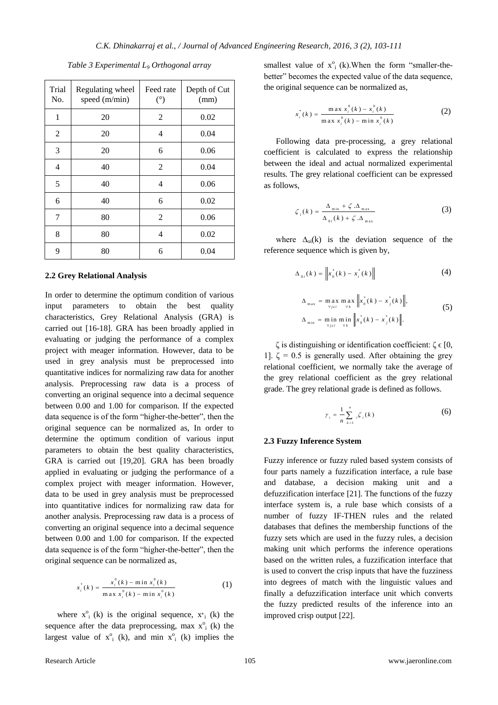| Trial<br>No. | Regulating wheel<br>speed (m/min) | Feed rate<br>$(^\circ)$ | Depth of Cut<br>(mm) |
|--------------|-----------------------------------|-------------------------|----------------------|
| 1            | 20                                | 2                       | 0.02                 |
| 2            | 20                                | 4                       | 0.04                 |
| 3            | 20                                | 6                       | 0.06                 |
| 4            | 40                                | 2                       | 0.04                 |
| 5            | 40                                | 4                       | 0.06                 |
| 6            | 40                                | 6                       | 0.02                 |
| 7            | 80                                | 2                       | 0.06                 |
| 8            | 80                                | 4                       | 0.02                 |
| 9            | 80                                | 6                       | 0.04                 |

*Table 3 Experimental L<sup>9</sup> Orthogonal array*

#### **2.2 Grey Relational Analysis**

In order to determine the optimum condition of various input parameters to obtain the best quality characteristics, Grey Relational Analysis (GRA) is carried out [16-18]. GRA has been broadly applied in evaluating or judging the performance of a complex project with meager information. However, data to be used in grey analysis must be preprocessed into quantitative indices for normalizing raw data for another analysis. Preprocessing raw data is a process of converting an original sequence into a decimal sequence between 0.00 and 1.00 for comparison. If the expected data sequence is of the form "higher-the-better", then the original sequence can be normalized as, In order to determine the optimum condition of various input parameters to obtain the best quality characteristics, GRA is carried out [19,20]. GRA has been broadly applied in evaluating or judging the performance of a complex project with meager information. However, data to be used in grey analysis must be preprocessed into quantitative indices for normalizing raw data for another analysis. Preprocessing raw data is a process of converting an original sequence into a decimal sequence between 0.00 and 1.00 for comparison. If the expected data sequence is of the form "higher-the-better", then the original sequence can be normalized as,

$$
x_i^*(k) = \frac{x_i^0(k) - \min x_i^0(k)}{\max x_i^0(k) - \min x_i^0(k)}
$$
 (1)

where  $x^0$ <sub>i</sub> (k) is the original sequence,  $x^*$ <sub>i</sub> (k) the sequence after the data preprocessing, max  $x^{\circ}$ <sub>1</sub> (k) the largest value of  $x^0$ <sub>i</sub> (k), and min  $x^0$ <sub>i</sub> (k) implies the smallest value of  $x^{\circ}$ <sub>i</sub> (k). When the form "smaller-thebetter" becomes the expected value of the data sequence, the original sequence can be normalized as,

$$
x_i^*(k) = \frac{\max x_i^0(k) - x_i^0(k)}{\max x_i^0(k) - \min x_i^0(k)}
$$
 (2)

Following data pre-processing, a grey relational coefficient is calculated to express the relationship between the ideal and actual normalized experimental results. The grey relational coefficient can be expressed as follows,

$$
\zeta_i(k) = \frac{\Delta_{\min} + \zeta \cdot \Delta_{\max}}{\Delta_{\text{0}i}(k) + \zeta \cdot \Delta_{\max}}
$$
(3)

where  $\Delta_{oi}(k)$  is the deviation sequence of the reference sequence which is given by,

$$
\Delta_{0i}(k) = \left\| x_0^*(k) - x_i^*(k) \right\| \tag{4}
$$

$$
\Delta_{\max} = \max_{\forall j \in i} \max_{\forall k} \left\| x_0^*(k) - x_j^*(k) \right\|,
$$
  

$$
\Delta_{\min} = \min_{\forall j \in i} \min_{\forall k} \left\| x_0^*(k) - x_j^*(k) \right\|.
$$
 (5)

ζ is distinguishing or identification coefficient: ζ ϵ [0, 1].  $\zeta = 0.5$  is generally used. After obtaining the grey relational coefficient, we normally take the average of the grey relational coefficient as the grey relational grade. The grey relational grade is defined as follows.

$$
\gamma_i = \frac{1}{n} \sum_{k=1}^n \zeta_i(k) \tag{6}
$$

#### **2.3 Fuzzy Inference System**

Fuzzy inference or fuzzy ruled based system consists of four parts namely a fuzzification interface, a rule base and database, a decision making unit and a defuzzification interface [21]. The functions of the fuzzy interface system is, a rule base which consists of a number of fuzzy IF-THEN rules and the related databases that defines the membership functions of the fuzzy sets which are used in the fuzzy rules, a decision making unit which performs the inference operations based on the written rules, a fuzzification interface that is used to convert the crisp inputs that have the fuzziness into degrees of match with the linguistic values and finally a defuzzification interface unit which converts the fuzzy predicted results of the inference into an improved crisp output [22].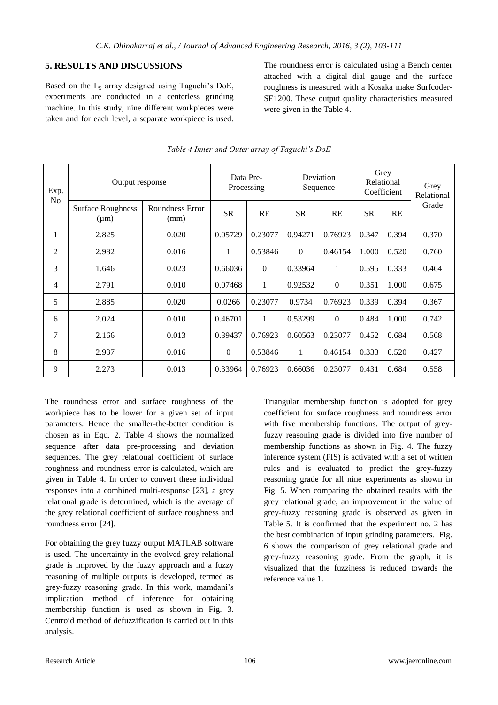### **5. RESULTS AND DISCUSSIONS**

Based on the L<sup>9</sup> array designed using Taguchi's DoE, experiments are conducted in a centerless grinding machine. In this study, nine different workpieces were taken and for each level, a separate workpiece is used. The roundness error is calculated using a Bench center attached with a digital dial gauge and the surface roughness is measured with a Kosaka make Surfcoder-SE1200. These output quality characteristics measured were given in the Table 4.

| Output response<br>Exp. |                                       |                         | Data Pre-<br>Processing |          | Deviation<br>Sequence |              | Grey<br>Relational<br>Coefficient |       | Grey<br>Relational |
|-------------------------|---------------------------------------|-------------------------|-------------------------|----------|-----------------------|--------------|-----------------------------------|-------|--------------------|
| No                      | <b>Surface Roughness</b><br>$(\mu m)$ | Roundness Error<br>(mm) | <b>SR</b>               | RE       | <b>SR</b>             | <b>RE</b>    | <b>SR</b>                         | RE    | Grade              |
|                         | 2.825                                 | 0.020                   | 0.05729                 | 0.23077  | 0.94271               | 0.76923      | 0.347                             | 0.394 | 0.370              |
| 2                       | 2.982                                 | 0.016                   | 1                       | 0.53846  | $\Omega$              | 0.46154      | 1.000                             | 0.520 | 0.760              |
| 3                       | 1.646                                 | 0.023                   | 0.66036                 | $\Omega$ | 0.33964               | $\mathbf{1}$ | 0.595                             | 0.333 | 0.464              |
| 4                       | 2.791                                 | 0.010                   | 0.07468                 | 1        | 0.92532               | $\Omega$     | 0.351                             | 1.000 | 0.675              |
| 5                       | 2.885                                 | 0.020                   | 0.0266                  | 0.23077  | 0.9734                | 0.76923      | 0.339                             | 0.394 | 0.367              |
| 6                       | 2.024                                 | 0.010                   | 0.46701                 | 1        | 0.53299               | $\Omega$     | 0.484                             | 1.000 | 0.742              |
| 7                       | 2.166                                 | 0.013                   | 0.39437                 | 0.76923  | 0.60563               | 0.23077      | 0.452                             | 0.684 | 0.568              |
| 8                       | 2.937                                 | 0.016                   | $\mathbf{0}$            | 0.53846  | 1                     | 0.46154      | 0.333                             | 0.520 | 0.427              |
| 9                       | 2.273                                 | 0.013                   | 0.33964                 | 0.76923  | 0.66036               | 0.23077      | 0.431                             | 0.684 | 0.558              |

### *Table 4 Inner and Outer array of Taguchi's DoE*

The roundness error and surface roughness of the workpiece has to be lower for a given set of input parameters. Hence the smaller-the-better condition is chosen as in Equ. 2. Table 4 shows the normalized sequence after data pre-processing and deviation sequences. The grey relational coefficient of surface roughness and roundness error is calculated, which are given in Table 4. In order to convert these individual responses into a combined multi-response [23], a grey relational grade is determined, which is the average of the grey relational coefficient of surface roughness and roundness error [24].

For obtaining the grey fuzzy output MATLAB software is used. The uncertainty in the evolved grey relational grade is improved by the fuzzy approach and a fuzzy reasoning of multiple outputs is developed, termed as grey-fuzzy reasoning grade. In this work, mamdani's implication method of inference for obtaining membership function is used as shown in Fig. 3. Centroid method of defuzzification is carried out in this analysis.

Triangular membership function is adopted for grey coefficient for surface roughness and roundness error with five membership functions. The output of greyfuzzy reasoning grade is divided into five number of membership functions as shown in Fig. 4. The fuzzy inference system (FIS) is activated with a set of written rules and is evaluated to predict the grey-fuzzy reasoning grade for all nine experiments as shown in Fig. 5. When comparing the obtained results with the grey relational grade, an improvement in the value of grey-fuzzy reasoning grade is observed as given in Table 5. It is confirmed that the experiment no. 2 has the best combination of input grinding parameters. Fig. 6 shows the comparison of grey relational grade and grey-fuzzy reasoning grade. From the graph, it is visualized that the fuzziness is reduced towards the reference value 1.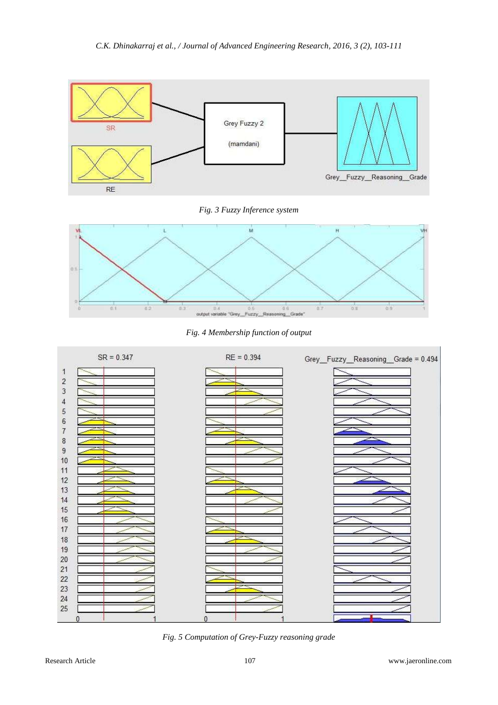

# *Fig. 3 Fuzzy Inference system*



*Fig. 4 Membership function of output*



*Fig. 5 Computation of Grey-Fuzzy reasoning grade*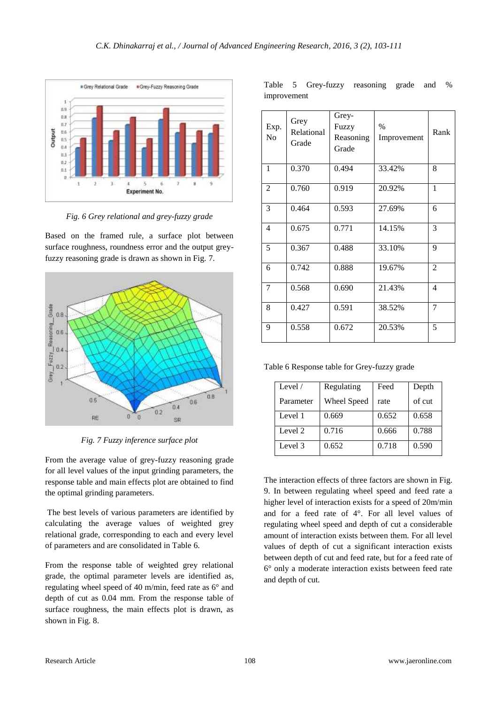

*Fig. 6 Grey relational and grey-fuzzy grade*

Based on the framed rule, a surface plot between surface roughness, roundness error and the output greyfuzzy reasoning grade is drawn as shown in Fig. 7.



*Fig. 7 Fuzzy inference surface plot*

From the average value of grey-fuzzy reasoning grade for all level values of the input grinding parameters, the response table and main effects plot are obtained to find the optimal grinding parameters.

The best levels of various parameters are identified by calculating the average values of weighted grey relational grade, corresponding to each and every level of parameters and are consolidated in Table 6.

From the response table of weighted grey relational grade, the optimal parameter levels are identified as, regulating wheel speed of 40 m/min, feed rate as 6° and depth of cut as 0.04 mm. From the response table of surface roughness, the main effects plot is drawn, as shown in Fig. 8.

|             | Table 5 Grey-fuzzy reasoning grade and % |  |  |
|-------------|------------------------------------------|--|--|
| improvement |                                          |  |  |

| Exp.<br>N <sub>o</sub> | Grey<br>Relational<br>Grade | Grey-<br>Fuzzy<br>Reasoning<br>Grade | $\%$<br>Improvement | Rank           |
|------------------------|-----------------------------|--------------------------------------|---------------------|----------------|
| $\mathbf{1}$           | 0.370                       | 0.494                                | 33.42%              | 8              |
| $\overline{2}$         | 0.760                       | 0.919                                | 20.92%              | 1              |
| 3                      | 0.464                       | 0.593                                | 27.69%              | 6              |
| 4                      | 0.675                       | 0.771                                | 14.15%              | 3              |
| 5                      | 0.367                       | 0.488                                | 33.10%              | 9              |
| 6                      | 0.742                       | 0.888                                | 19.67%              | $\overline{2}$ |
| 7                      | 0.568                       | 0.690                                | 21.43%              | 4              |
| 8                      | 0.427                       | 0.591                                | 38.52%              | 7              |
| 9                      | 0.558                       | 0.672                                | 20.53%              | 5              |

Table 6 Response table for Grey-fuzzy grade

| Level $/$ | Regulating  | Feed  | Depth  |
|-----------|-------------|-------|--------|
| Parameter | Wheel Speed | rate  | of cut |
| Level 1   | 0.669       | 0.652 | 0.658  |
| Level 2   | 0.716       | 0.666 | 0.788  |
| Level 3   | 0.652       | 0.718 | 0.590  |

The interaction effects of three factors are shown in Fig. 9. In between regulating wheel speed and feed rate a higher level of interaction exists for a speed of 20m/min and for a feed rate of 4°. For all level values of regulating wheel speed and depth of cut a considerable amount of interaction exists between them. For all level values of depth of cut a significant interaction exists between depth of cut and feed rate, but for a feed rate of 6° only a moderate interaction exists between feed rate and depth of cut.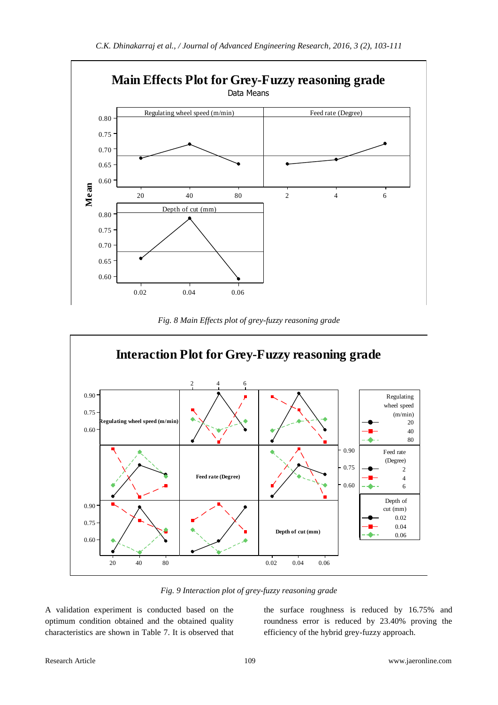

*Fig. 8 Main Effects plot of grey-fuzzy reasoning grade*



*Fig. 9 Interaction plot of grey-fuzzy reasoning grade*

A validation experiment is conducted based on the optimum condition obtained and the obtained quality characteristics are shown in Table 7. It is observed that

the surface roughness is reduced by 16.75% and roundness error is reduced by 23.40% proving the efficiency of the hybrid grey-fuzzy approach.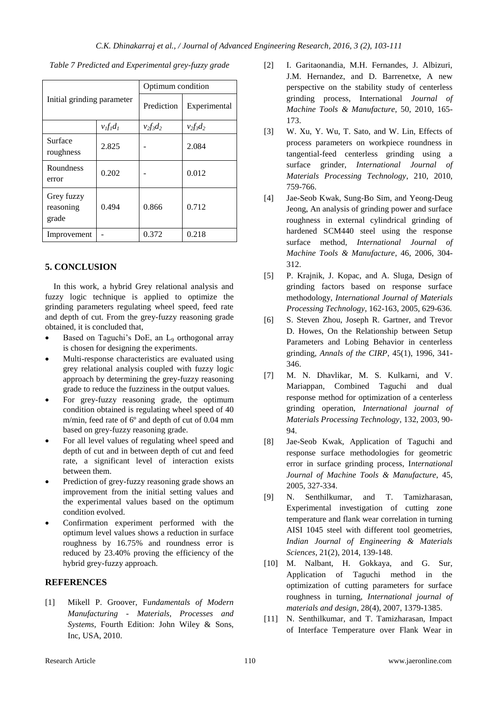|                                  |               | Optimum condition |              |  |  |
|----------------------------------|---------------|-------------------|--------------|--|--|
| Initial grinding parameter       |               | Prediction        | Experimental |  |  |
|                                  | $v_I f_I d_I$ | $v_2f_3d_2$       | $v_2f_3d_2$  |  |  |
| Surface<br>roughness             | 2.825         |                   | 2.084        |  |  |
| Roundness<br>error               | 0.202         |                   | 0.012        |  |  |
| Grey fuzzy<br>reasoning<br>grade | 0.494         | 0.866             | 0.712        |  |  |
| Improvement                      |               | 0.372             | 0.218        |  |  |

*Table 7 Predicted and Experimental grey-fuzzy grade*

### **5. CONCLUSION**

In this work, a hybrid Grey relational analysis and fuzzy logic technique is applied to optimize the grinding parameters regulating wheel speed, feed rate and depth of cut. From the grey-fuzzy reasoning grade obtained, it is concluded that,

- Based on Taguchi's DoE, an L<sup>9</sup> orthogonal array is chosen for designing the experiments.
- Multi-response characteristics are evaluated using grey relational analysis coupled with fuzzy logic approach by determining the grey-fuzzy reasoning grade to reduce the fuzziness in the output values.
- For grey-fuzzy reasoning grade, the optimum condition obtained is regulating wheel speed of 40 m/min, feed rate of 6º and depth of cut of 0.04 mm based on grey-fuzzy reasoning grade.
- For all level values of regulating wheel speed and depth of cut and in between depth of cut and feed rate, a significant level of interaction exists between them.
- Prediction of grey-fuzzy reasoning grade shows an improvement from the initial setting values and the experimental values based on the optimum condition evolved.
- Confirmation experiment performed with the optimum level values shows a reduction in surface roughness by 16.75% and roundness error is reduced by 23.40% proving the efficiency of the hybrid grey-fuzzy approach.

### **REFERENCES**

[1] Mikell P. Groover, F*undamentals of Modern Manufacturing - Materials, Processes and Systems*, Fourth Edition: John Wiley & Sons, Inc, USA, 2010.

- [2] I. Garitaonandia, M.H. Fernandes, J. Albizuri, J.M. Hernandez, and D. Barrenetxe, A new perspective on the stability study of centerless grinding process, International *Journal of Machine Tools & Manufacture*, 50, 2010, 165- 173.
- [3] W. Xu, Y. Wu, T. Sato, and W. Lin, Effects of process parameters on workpiece roundness in tangential-feed centerless grinding using a surface grinder, *International Journal of Materials Processing Technology*, 210, 2010, 759-766.
- [4] Jae-Seob Kwak, Sung-Bo Sim, and Yeong-Deug Jeong, An analysis of grinding power and surface roughness in external cylindrical grinding of hardened SCM440 steel using the response surface method, *International Journal of Machine Tools & Manufacture*, 46, 2006, 304- 312.
- [5] P. Krajnik, J. Kopac, and A. Sluga, Design of grinding factors based on response surface methodology, *International Journal of Materials Processing Technology*, 162-163, 2005, 629-636.
- [6] S. Steven Zhou, Joseph R. Gartner, and Trevor D. Howes, On the Relationship between Setup Parameters and Lobing Behavior in centerless grinding, *Annals of the CIRP*, 45(1), 1996, 341- 346.
- [7] M. N. Dhavlikar, M. S. Kulkarni, and V. Mariappan, Combined Taguchi and dual response method for optimization of a centerless grinding operation, *International journal of Materials Processing Technology*, 132, 2003, 90- 94.
- [8] Jae-Seob Kwak, Application of Taguchi and response surface methodologies for geometric error in surface grinding process, I*nternational Journal of Machine Tools & Manufacture*, 45, 2005, 327-334.
- [9] N. Senthilkumar, and T. Tamizharasan, Experimental investigation of cutting zone temperature and flank wear correlation in turning AISI 1045 steel with different tool geometries, *Indian Journal of Engineering & Materials Sciences*, 21(2), 2014, 139-148.
- [10] M. Nalbant, H. Gokkaya, and G. Sur, Application of Taguchi method in the optimization of cutting parameters for surface roughness in turning, *International journal of materials and design*, 28(4), 2007, 1379-1385.
- [11] N. Senthilkumar, and T. Tamizharasan, Impact of Interface Temperature over Flank Wear in